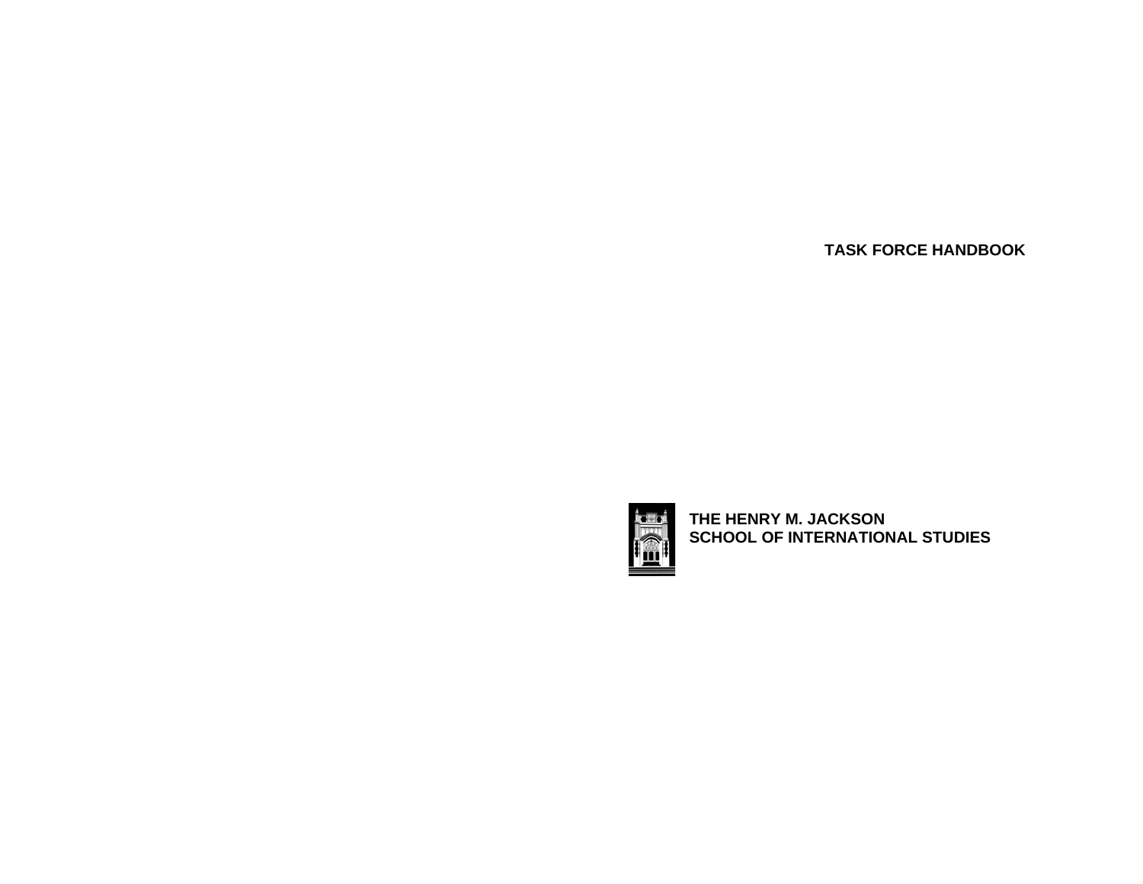**TASK FORCE HANDBOOK**



**THE HENRY M. JACKSON SCHOOL OF INTERNATIONAL STUDIES**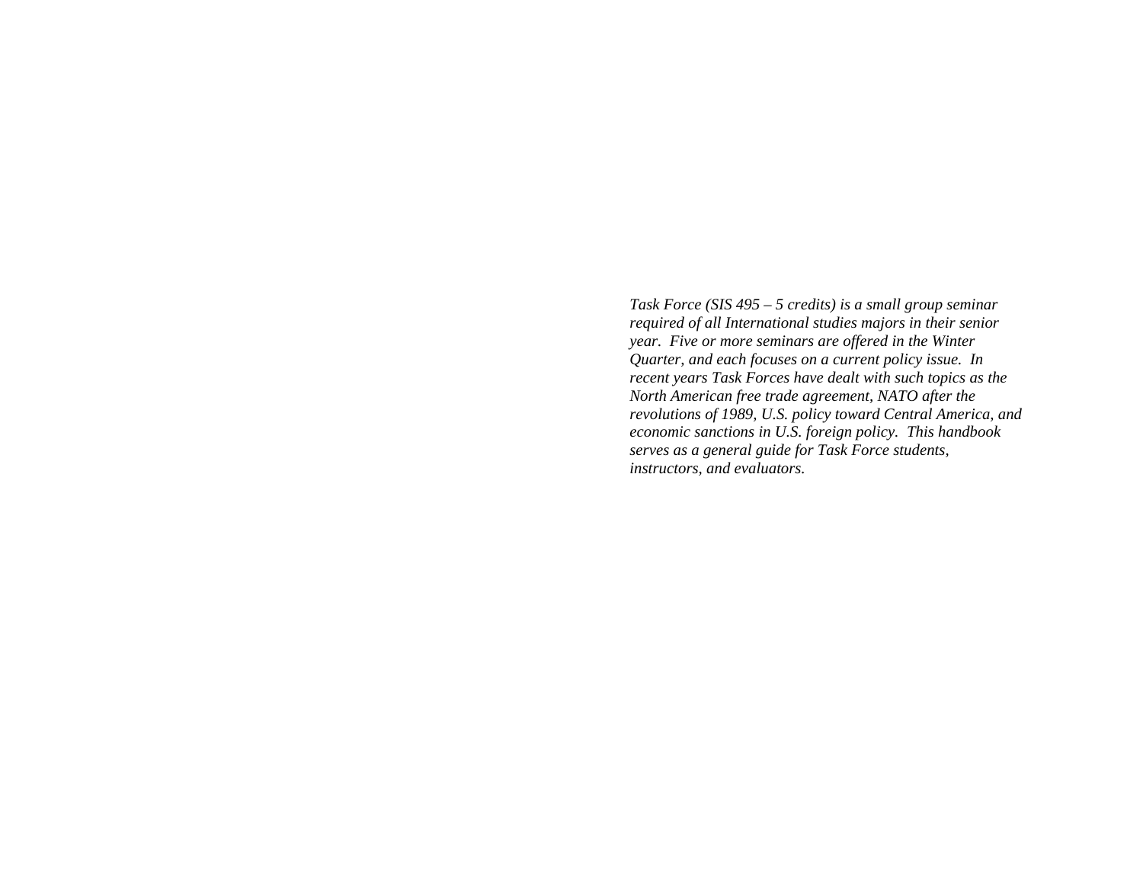*Task Force (SIS 495 – 5 credits) is a small group seminar required of all International studies majors in their senior year. Five or more seminars are offered in the Winter Quarter, and each focuses on a current policy issue. In recent years Task Forces have dealt with such topics as the North American free trade agreement, NATO after the revolutions of 1989, U.S. policy toward Central America, and economic sanctions in U.S. foreign policy. This handbook serves as a general guide for Task Force students, instructors, and evaluators.*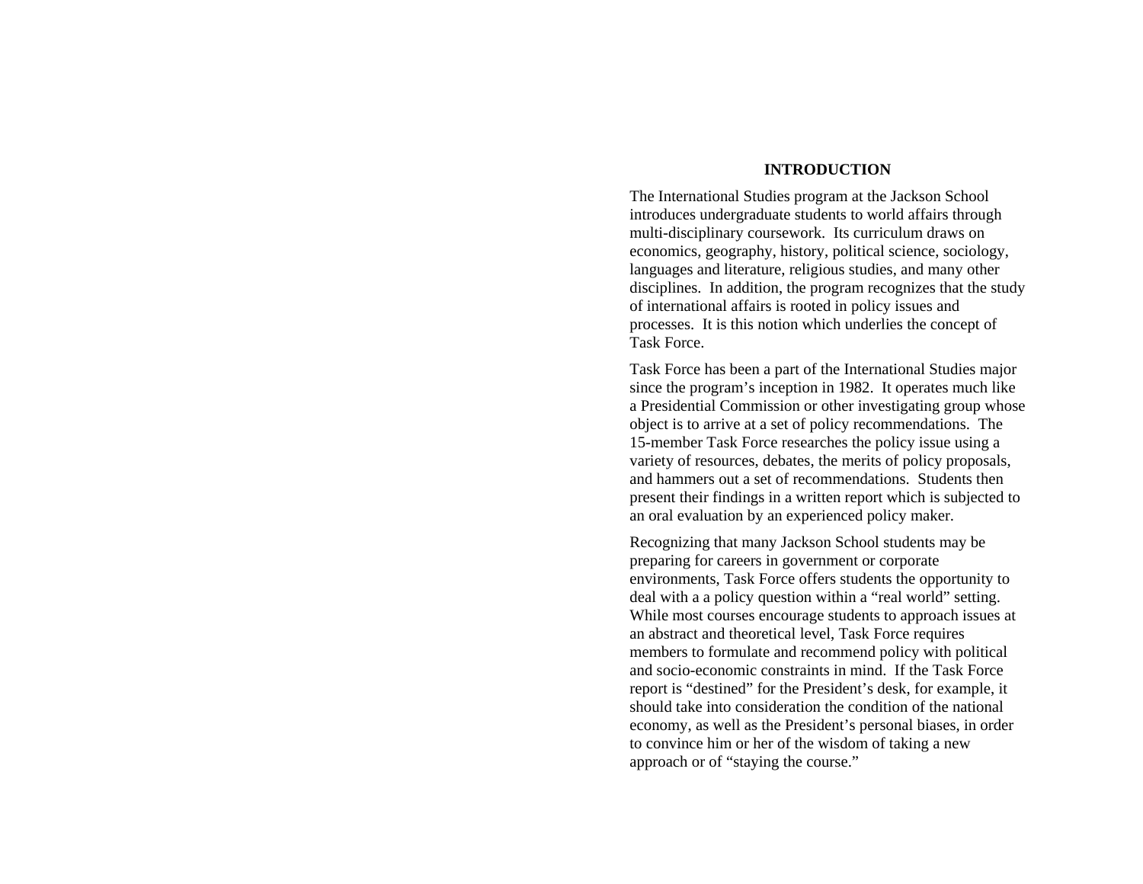#### **INTRODUCTION**

The International Studies program at the Jackson School introduces undergraduate students to world affairs through multi-disciplinary coursework. Its curriculum draws on economics, geography, history, political science, sociology, languages and literature, religious studies, and many other disciplines. In addition, the program recognizes that the study of international affairs is rooted in policy issues and processes. It is this notion which underlies the concept of Task Force.

Task Force has been a part of the International Studies major since the program's inception in 1982. It operates much like a Presidential Commission or other investigating group whose object is to arrive at a set of policy recommendations. The 15-member Task Force researches the policy issue using a variety of resources, debates, the merits of policy proposals, and hammers out a set of recommendations. Students then present their findings in a written report which is subjected to an oral evaluation by an experienced policy maker.

Recognizing that many Jackson School students may be preparing for careers in government or corporate environments, Task Force offers students the opportunity to deal with a a policy question within a "real world" setting. While most courses encourage students to approach issues at an abstract and theoretical level, Task Force requires members to formulate and recommend policy with political and socio-economic constraints in mind. If the Task Force report is "destined" for the President's desk, for example, it should take into consideration the condition of the national economy, as well as the President's personal biases, in order to convince him or her of the wisdom of taking a new approach or of "staying the course."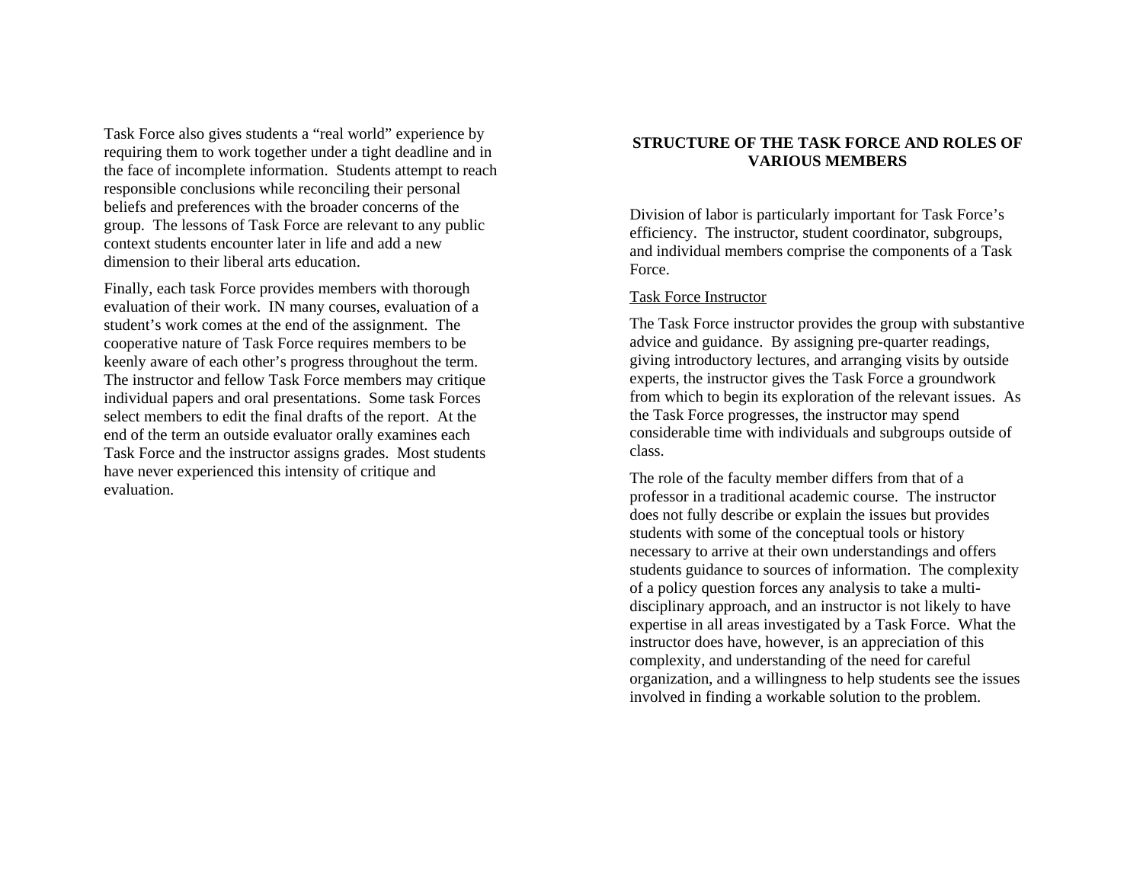Task Force also gives students a "real world" experience by requiring them to work together under a tight deadline and in the face of incomplete information. Students attempt to reach responsible conclusions while reconciling their personal beliefs and preferences with the broader concerns of the group. The lessons of Task Force are relevant to any public context students encounter later in life and add a new dimension to their liberal arts education.

Finally, each task Force provides members with thorough evaluation of their work. IN many courses, evaluation of a student's work comes at the end of the assignment. The cooperative nature of Task Force requires members to be keenly aware of each other's progress throughout the term. The instructor and fellow Task Force members may critique individual papers and oral presentations. Some task Forces select members to edit the final drafts of the report. At the end of the term an outside evaluator orally examines each Task Force and the instructor assigns grades. Most students have never experienced this intensity of critique and evaluation.

# **STRUCTURE OF THE TASK FORCE AND ROLES OF VARIOUS MEMBERS**

Division of labor is particularly important for Task Force's efficiency. The instructor, student coordinator, subgroups, and individual members comprise the components of a Task Force.

### Task Force Instructor

The Task Force instructor provides the group with substantive advice and guidance. By assigning pre-quarter readings, giving introductory lectures, and arranging visits by outside experts, the instructor gives the Task Force a groundwork from which to begin its exploration of the relevant issues. As the Task Force progresses, the instructor may spend considerable time with individuals and subgroups outside of class.

The role of the faculty member differs from that of a professor in a traditional academic course. The instructor does not fully describe or explain the issues but provides students with some of the conceptual tools or history necessary to arrive at their own understandings and offers students guidance to sources of information. The complexity of a policy question forces any analysis to take a multidisciplinary approach, and an instructor is not likely to have expertise in all areas investigated by a Task Force. What the instructor does have, however, is an appreciation of this complexity, and understanding of the need for careful organization, and a willingness to help students see the issues involved in finding a workable solution to the problem.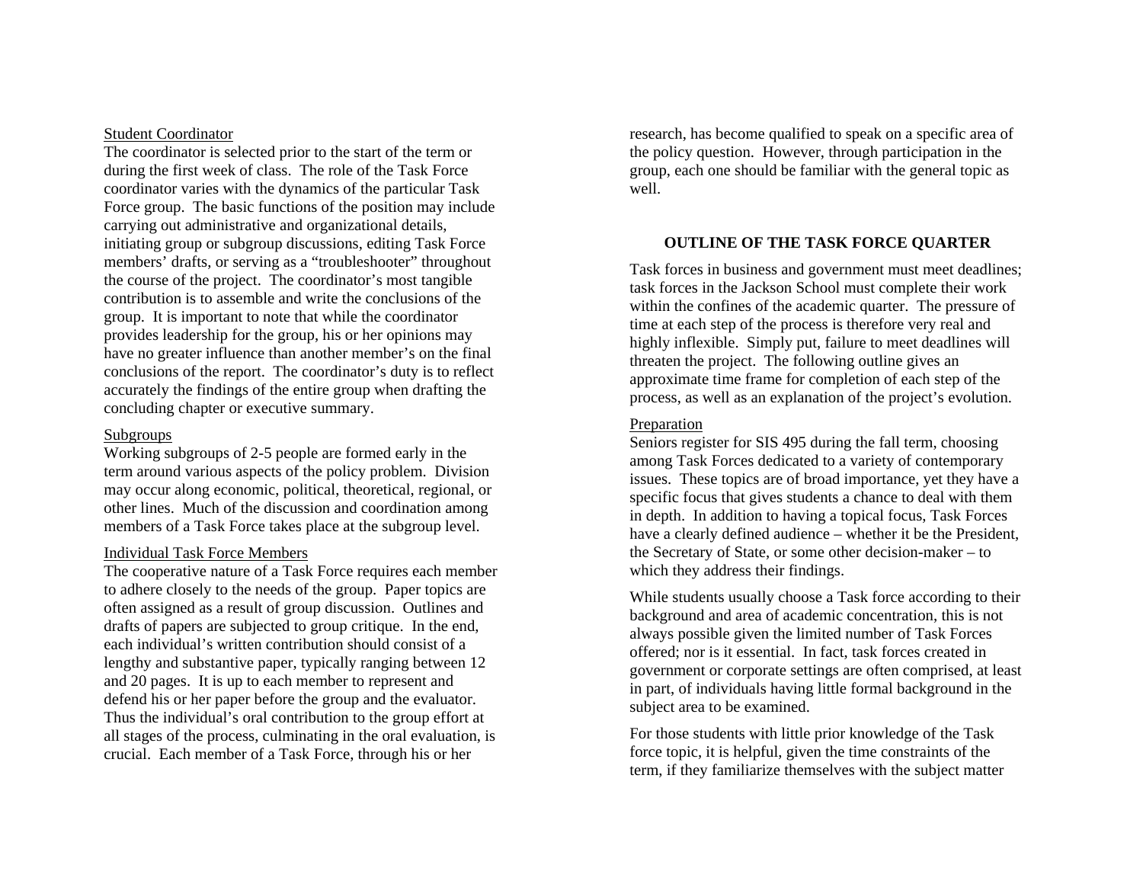#### Student Coordinator

The coordinator is selected prior to the start of the term or during the first week of class. The role of the Task Force coordinator varies with the dynamics of the particular Task Force group. The basic functions of the position may include carrying out administrative and organizational details, initiating group or subgroup discussions, editing Task Force members' drafts, or serving as a "troubleshooter" throughout the course of the project. The coordinator's most tangible contribution is to assemble and write the conclusions of the group. It is important to note that while the coordinator provides leadership for the group, his or her opinions may have no greater influence than another member's on the final conclusions of the report. The coordinator's duty is to reflect accurately the findings of the entire group when drafting the concluding chapter or executive summary.

### Subgroups

Working subgroups of 2-5 people are formed early in the term around various aspects of the policy problem. Division may occur along economic, political, theoretical, regional, or other lines. Much of the discussion and coordination among members of a Task Force takes place at the subgroup level.

### Individual Task Force Members

The cooperative nature of a Task Force requires each member to adhere closely to the needs of the group. Paper topics are often assigned as a result of group discussion. Outlines and drafts of papers are subjected to group critique. In the end, each individual's written contribution should consist of a lengthy and substantive paper, typically ranging between 12 and 20 pages. It is up to each member to represent and defend his or her paper before the group and the evaluator. Thus the individual's oral contribution to the group effort at all stages of the process, culminating in the oral evaluation, is crucial. Each member of a Task Force, through his or her

research, has become qualified to speak on a specific area of the policy question. However, through participation in the group, each one should be familiar with the general topic as well.

# **OUTLINE OF THE TASK FORCE QUARTER**

Task forces in business and government must meet deadlines; task forces in the Jackson School must complete their work within the confines of the academic quarter. The pressure of time at each step of the process is therefore very real and highly inflexible. Simply put, failure to meet deadlines will threaten the project. The following outline gives an approximate time frame for completion of each step of the process, as well as an explanation of the project's evolution.

#### Preparation

Seniors register for SIS 495 during the fall term, choosing among Task Forces dedicated to a variety of contemporary issues. These topics are of broad importance, yet they have a specific focus that gives students a chance to deal with them in depth. In addition to having a topical focus, Task Forces have a clearly defined audience – whether it be the President, the Secretary of State, or some other decision-maker – to which they address their findings.

While students usually choose a Task force according to their background and area of academic concentration, this is not always possible given the limited number of Task Forces offered; nor is it essential. In fact, task forces created in government or corporate settings are often comprised, at least in part, of individuals having little formal background in the subject area to be examined.

For those students with little prior knowledge of the Task force topic, it is helpful, given the time constraints of the term, if they familiarize themselves with the subject matter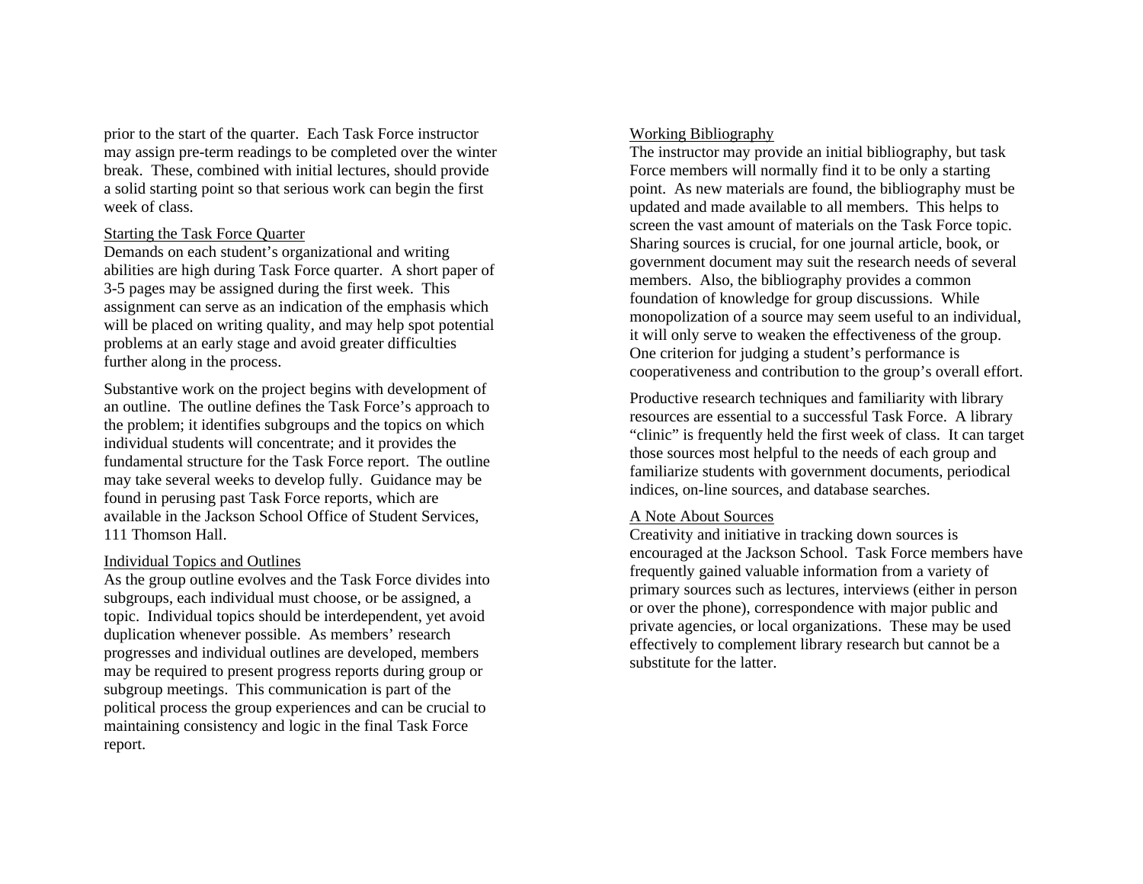prior to the start of the quarter. Each Task Force instructor may assign pre-term readings to be completed over the winter break. These, combined with initial lectures, should provide a solid starting point so that serious work can begin the first week of class.

### Starting the Task Force Quarter

Demands on each student's organizational and writing abilities are high during Task Force quarter. A short paper of 3-5 pages may be assigned during the first week. This assignment can serve as an indication of the emphasis which will be placed on writing quality, and may help spot potential problems at an early stage and avoid greater difficulties further along in the process.

Substantive work on the project begins with development of an outline. The outline defines the Task Force's approach to the problem; it identifies subgroups and the topics on which individual students will concentrate; and it provides the fundamental structure for the Task Force report. The outline may take several weeks to develop fully. Guidance may be found in perusing past Task Force reports, which are available in the Jackson School Office of Student Services, 111 Thomson Hall.

# Individual Topics and Outlines

As the group outline evolves and the Task Force divides into subgroups, each individual must choose, or be assigned, a topic. Individual topics should be interdependent, yet avoid duplication whenever possible. As members' research progresses and individual outlines are developed, members may be required to present progress reports during group or subgroup meetings. This communication is part of the political process the group experiences and can be crucial to maintaining consistency and logic in the final Task Force report.

### Working Bibliography

The instructor may provide an initial bibliography, but task Force members will normally find it to be only a starting point. As new materials are found, the bibliography must be updated and made available to all members. This helps to screen the vast amount of materials on the Task Force topic. Sharing sources is crucial, for one journal article, book, or government document may suit the research needs of several members. Also, the bibliography provides a common foundation of knowledge for group discussions. While monopolization of a source may seem useful to an individual, it will only serve to weaken the effectiveness of the group. One criterion for judging a student's performance is cooperativeness and contribution to the group's overall effort.

Productive research techniques and familiarity with library resources are essential to a successful Task Force. A library "clinic" is frequently held the first week of class. It can target those sources most helpful to the needs of each group and familiarize students with government documents, periodical indices, on-line sources, and database searches.

# A Note About Sources

Creativity and initiative in tracking down sources is encouraged at the Jackson School. Task Force members have frequently gained valuable information from a variety of primary sources such as lectures, interviews (either in person or over the phone), correspondence with major public and private agencies, or local organizations. These may be used effectively to complement library research but cannot be a substitute for the latter.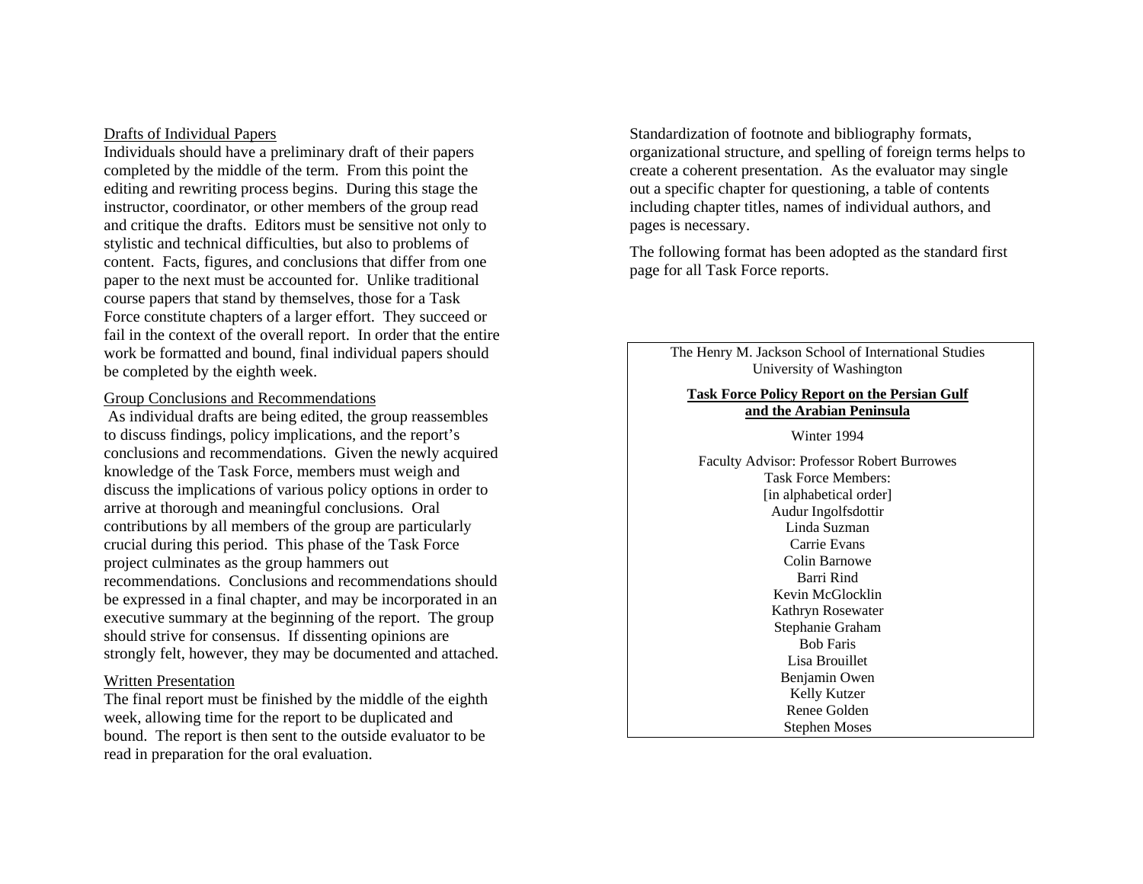#### Drafts of Individual Papers

Individuals should have a preliminary draft of their papers completed by the middle of the term. From this point the editing and rewriting process begins. During this stage the instructor, coordinator, or other members of the group read and critique the drafts. Editors must be sensitive not only to stylistic and technical difficulties, but also to problems of content. Facts, figures, and conclusions that differ from one paper to the next must be accounted for. Unlike traditional course papers that stand by themselves, those for a Task Force constitute chapters of a larger effort. They succeed or fail in the context of the overall report. In order that the entire work be formatted and bound, final individual papers should be completed by the eighth week.

### Group Conclusions and Recommendations

 As individual drafts are being edited, the group reassembles to discuss findings, policy implications, and the report's conclusions and recommendations. Given the newly acquired knowledge of the Task Force, members must weigh and discuss the implications of various policy options in order to arrive at thorough and meaningful conclusions. Oral contributions by all members of the group are particularly crucial during this period. This phase of the Task Force project culminates as the group hammers out recommendations. Conclusions and recommendations should be expressed in a final chapter, and may be incorporated in an executive summary at the beginning of the report. The group should strive for consensus. If dissenting opinions are strongly felt, however, they may be documented and attached.

#### Written Presentation

The final report must be finished by the middle of the eighth week, allowing time for the report to be duplicated and bound. The report is then sent to the outside evaluator to be read in preparation for the oral evaluation.

Standardization of footnote and bibliography formats, organizational structure, and spelling of foreign terms helps to create a coherent presentation. As the evaluator may single out a specific chapter for questioning, a table of contents including chapter titles, names of individual authors, and pages is necessary.

The following format has been adopted as the standard first page for all Task Force reports.

> The Henry M. Jackson School of International Studies University of Washington

#### **Task Force Policy Report on the Persian Gulf and the Arabian Peninsula**

Winter 1994

Faculty Advisor: Professor Robert Burrowes Task Force Members: [in alphabetical order] Audur Ingolfsdottir Linda Suzman Carrie Evans Colin Barnowe Barri Rind Kevin McGlocklin Kathryn Rosewater Stephanie Graham Bob Faris Lisa Brouillet Benjamin Owen Kelly Kutzer Renee Golden Stephen Moses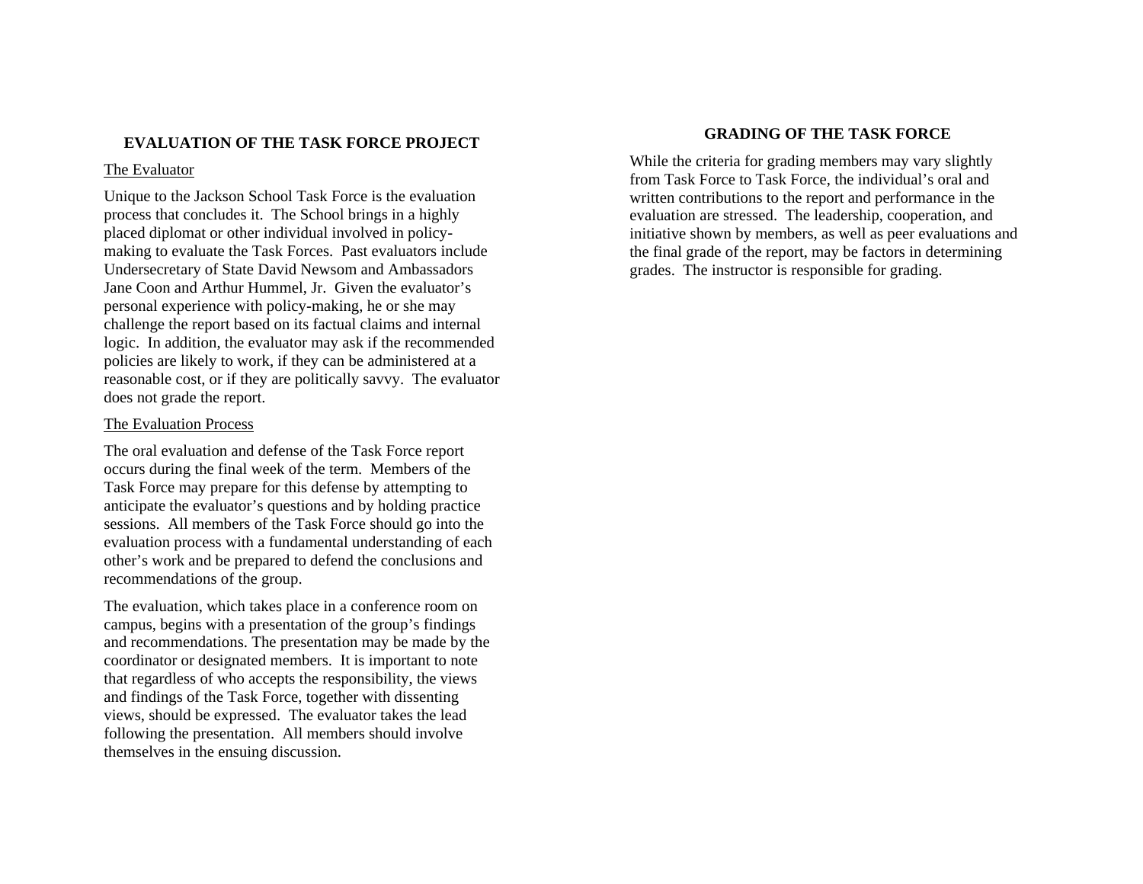# **EVALUATION OF THE TASK FORCE PROJECT**

### The Evaluator

Unique to the Jackson School Task Force is the evaluation process that concludes it. The School brings in a highly placed diplomat or other individual involved in policymaking to evaluate the Task Forces. Past evaluators include Undersecretary of State David Newsom and Ambassadors Jane Coon and Arthur Hummel, Jr. Given the evaluator's personal experience with policy-making, he or she may challenge the report based on its factual claims and internal logic. In addition, the evaluator may ask if the recommended policies are likely to work, if they can be administered at a reasonable cost, or if they are politically savvy. The evaluator does not grade the report.

### The Evaluation Process

The oral evaluation and defense of the Task Force report occurs during the final week of the term. Members of the Task Force may prepare for this defense by attempting to anticipate the evaluator's questions and by holding practice sessions. All members of the Task Force should go into the evaluation process with a fundamental understanding of each other's work and be prepared to defend the conclusions and recommendations of the group.

The evaluation, which takes place in a conference room on campus, begins with a presentation of the group's findings and recommendations. The presentation may be made by the coordinator or designated members. It is important to note that regardless of who accepts the responsibility, the views and findings of the Task Force, together with dissenting views, should be expressed. The evaluator takes the lead following the presentation. All members should involve themselves in the ensuing discussion.

# **GRADING OF THE TASK FORCE**

While the criteria for grading members may vary slightly from Task Force to Task Force, the individual's oral and written contributions to the report and performance in the evaluation are stressed. The leadership, cooperation, and initiative shown by members, as well as peer evaluations and the final grade of the report, may be factors in determining grades. The instructor is responsible for grading.